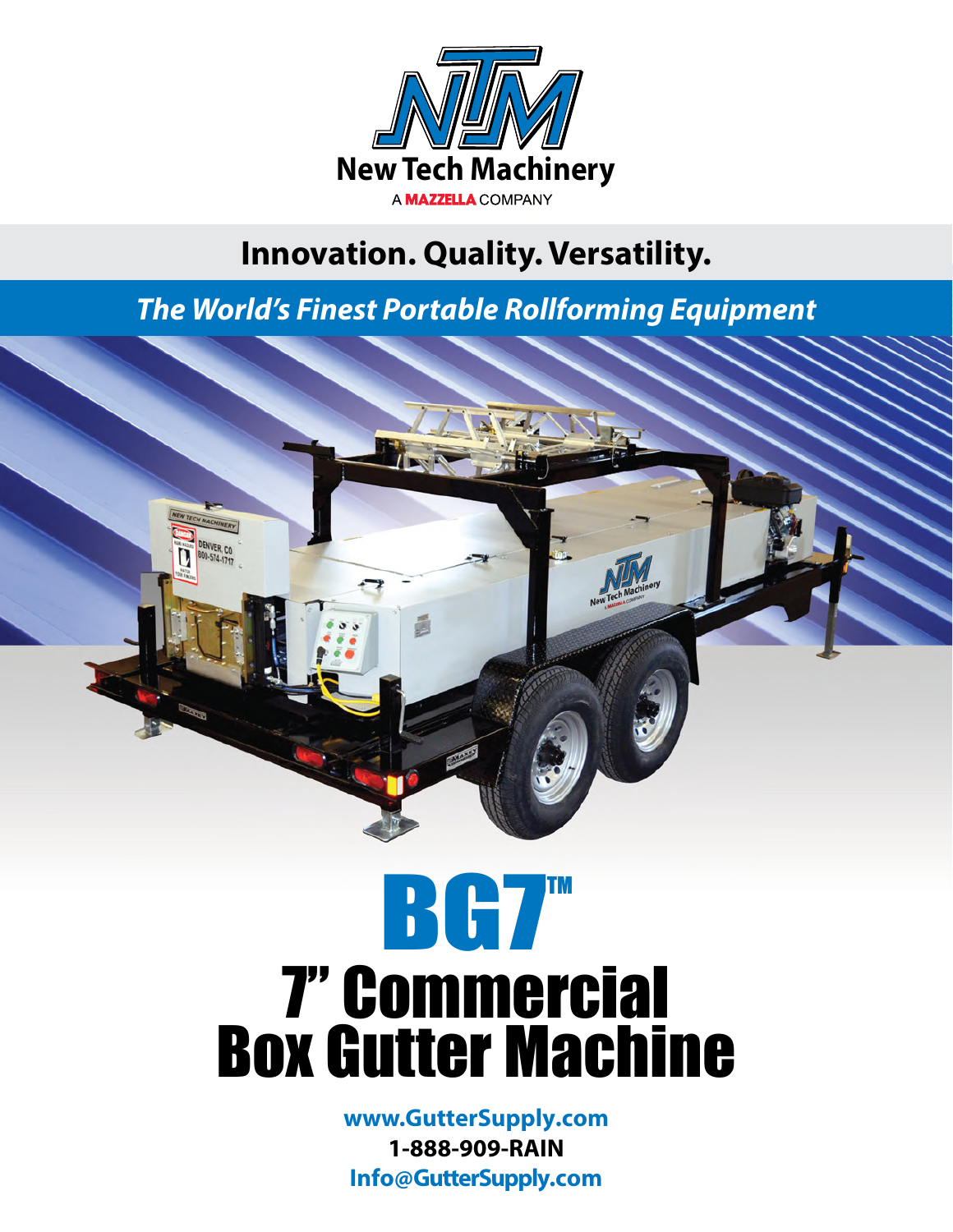

### **Innovation. Quality. Versatility.**

*The World's Finest Portable Rollforming Equipment*



## **BG7TM** 7" Commercial Box Gutter Machine

**www.GutterSupply.com 1-888-909-RAIN Info@GutterSupply.com**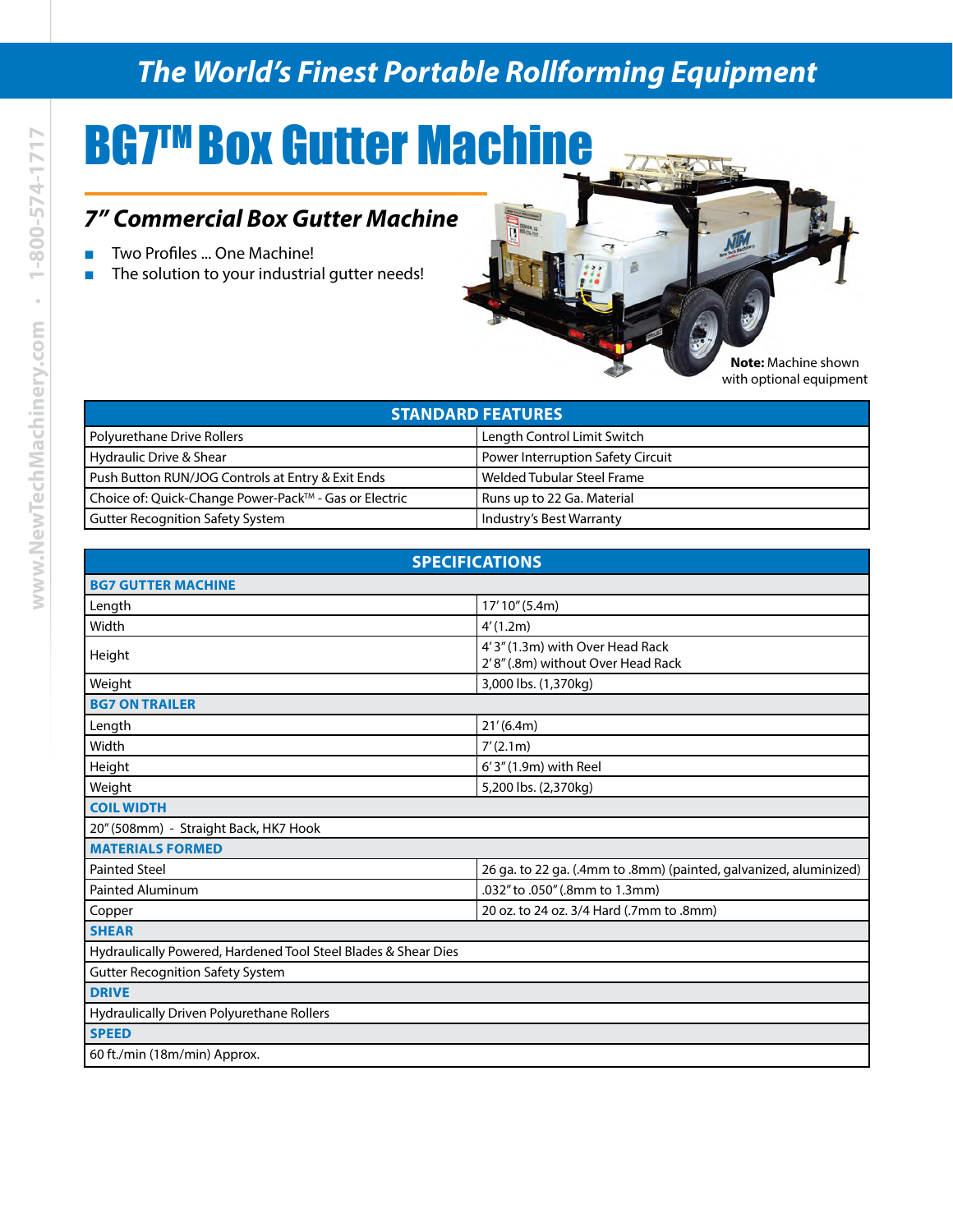#### *The World's Finest Portable Rollforming Equipment*

E

 $\overline{1-\overline{2}}$ 

### **BG7™ Box Gutter Machine**

#### *7" Commercial Box Gutter Machine*

- Two Profiles ... One Machine!
- The solution to your industrial gutter needs!

**Note:** Machine shown with optional equipment

| <b>STANDARD FEATURES</b>                              |                                          |
|-------------------------------------------------------|------------------------------------------|
| Polyurethane Drive Rollers                            | Length Control Limit Switch              |
| Hydraulic Drive & Shear                               | <b>Power Interruption Safety Circuit</b> |
| Push Button RUN/JOG Controls at Entry & Exit Ends     | Welded Tubular Steel Frame               |
| Choice of: Quick-Change Power-Pack™ - Gas or Electric | Runs up to 22 Ga. Material               |
| <b>Gutter Recognition Safety System</b>               | Industry's Best Warranty                 |

| <b>SPECIFICATIONS</b>                                          |                                                                      |
|----------------------------------------------------------------|----------------------------------------------------------------------|
| <b>BG7 GUTTER MACHINE</b>                                      |                                                                      |
| Length                                                         | 17'10" (5.4m)                                                        |
| Width                                                          | 4'(1.2m)                                                             |
| Height                                                         | 4'3" (1.3m) with Over Head Rack<br>2'8" (.8m) without Over Head Rack |
| Weight                                                         | 3,000 lbs. (1,370kg)                                                 |
| <b>BG7 ON TRAILER</b>                                          |                                                                      |
| Length                                                         | 21'(6.4m)                                                            |
| Width                                                          | 7'(2.1m)                                                             |
| Height                                                         | 6'3" (1.9m) with Reel                                                |
| Weight                                                         | 5,200 lbs. (2,370kg)                                                 |
| <b>COIL WIDTH</b>                                              |                                                                      |
| 20" (508mm) - Straight Back, HK7 Hook                          |                                                                      |
| <b>MATERIALS FORMED</b>                                        |                                                                      |
| <b>Painted Steel</b>                                           | 26 ga. to 22 ga. (.4mm to .8mm) (painted, galvanized, aluminized)    |
| <b>Painted Aluminum</b>                                        | .032" to .050" (.8mm to 1.3mm)                                       |
| Copper                                                         | 20 oz. to 24 oz. 3/4 Hard (.7mm to .8mm)                             |
| <b>SHEAR</b>                                                   |                                                                      |
| Hydraulically Powered, Hardened Tool Steel Blades & Shear Dies |                                                                      |
| <b>Gutter Recognition Safety System</b>                        |                                                                      |
| <b>DRIVE</b>                                                   |                                                                      |
| Hydraulically Driven Polyurethane Rollers                      |                                                                      |
| <b>SPEED</b>                                                   |                                                                      |
| 60 ft./min (18m/min) Approx.                                   |                                                                      |
|                                                                |                                                                      |